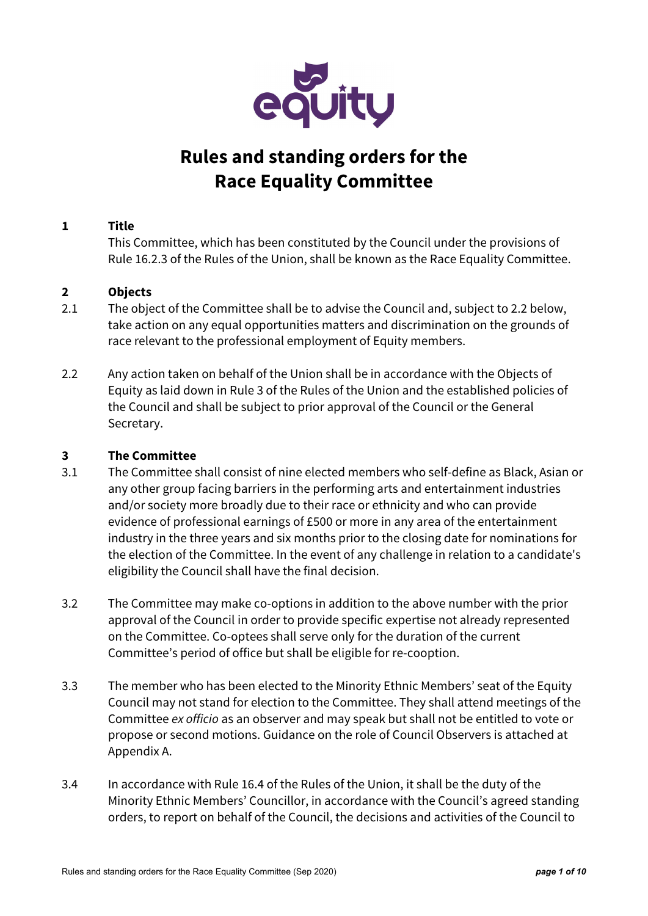

# **Rules and standing orders for the Race Equality Committee**

# **1 Title**

This Committee, which has been constituted by the Council under the provisions of Rule 16.2.3 of the Rules of the Union, shall be known as the Race Equality Committee.

## **2 Objects**

- 2.1 The object of the Committee shall be to advise the Council and, subject to 2.2 below, take action on any equal opportunities matters and discrimination on the grounds of race relevant to the professional employment of Equity members.
- 2.2 Any action taken on behalf of the Union shall be in accordance with the Objects of Equity as laid down in Rule 3 of the Rules of the Union and the established policies of the Council and shall be subject to prior approval of the Council or the General Secretary.

## **3 The Committee**

- 3.1 The Committee shall consist of nine elected members who self-define as Black, Asian or any other group facing barriers in the performing arts and entertainment industries and/or society more broadly due to their race or ethnicity and who can provide evidence of professional earnings of £500 or more in any area of the entertainment industry in the three years and six months prior to the closing date for nominations for the election of the Committee. In the event of any challenge in relation to a candidate's eligibility the Council shall have the final decision.
- 3.2 The Committee may make co-options in addition to the above number with the prior approval of the Council in order to provide specific expertise not already represented on the Committee. Co-optees shall serve only for the duration of the current Committee's period of office but shall be eligible for re-cooption.
- 3.3 The member who has been elected to the Minority Ethnic Members' seat of the Equity Council may not stand for election to the Committee. They shall attend meetings of the Committee ex officio as an observer and may speak but shall not be entitled to vote or propose or second motions. Guidance on the role of Council Observers is attached at Appendix A.
- 3.4 In accordance with Rule 16.4 of the Rules of the Union, it shall be the duty of the Minority Ethnic Members' Councillor, in accordance with the Council's agreed standing orders, to report on behalf of the Council, the decisions and activities of the Council to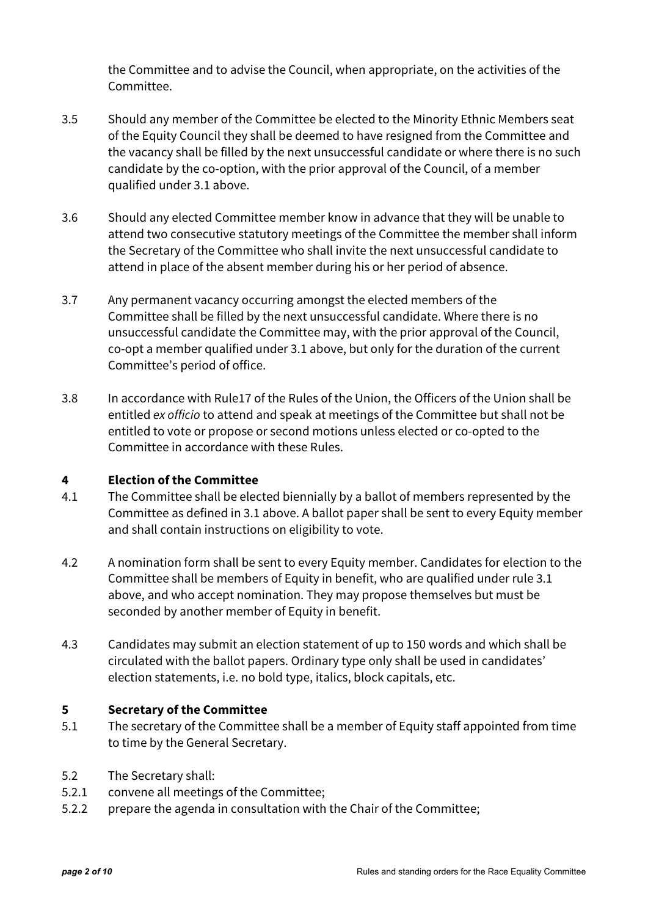the Committee and to advise the Council, when appropriate, on the activities of the Committee.

- 3.5 Should any member of the Committee be elected to the Minority Ethnic Members seat of the Equity Council they shall be deemed to have resigned from the Committee and the vacancy shall be filled by the next unsuccessful candidate or where there is no such candidate by the co-option, with the prior approval of the Council, of a member qualified under 3.1 above.
- 3.6 Should any elected Committee member know in advance that they will be unable to attend two consecutive statutory meetings of the Committee the member shall inform the Secretary of the Committee who shall invite the next unsuccessful candidate to attend in place of the absent member during his or her period of absence.
- 3.7 Any permanent vacancy occurring amongst the elected members of the Committee shall be filled by the next unsuccessful candidate. Where there is no unsuccessful candidate the Committee may, with the prior approval of the Council, co-opt a member qualified under 3.1 above, but only for the duration of the current Committee's period of office.
- 3.8 In accordance with Rule17 of the Rules of the Union, the Officers of the Union shall be entitled ex officio to attend and speak at meetings of the Committee but shall not be entitled to vote or propose or second motions unless elected or co-opted to the Committee in accordance with these Rules.

## **4 Election of the Committee**

- 4.1 The Committee shall be elected biennially by a ballot of members represented by the Committee as defined in 3.1 above. A ballot paper shall be sent to every Equity member and shall contain instructions on eligibility to vote.
- 4.2 A nomination form shall be sent to every Equity member. Candidates for election to the Committee shall be members of Equity in benefit, who are qualified under rule 3.1 above, and who accept nomination. They may propose themselves but must be seconded by another member of Equity in benefit.
- 4.3 Candidates may submit an election statement of up to 150 words and which shall be circulated with the ballot papers. Ordinary type only shall be used in candidates' election statements, i.e. no bold type, italics, block capitals, etc.

#### **5 Secretary of the Committee**

- 5.1 The secretary of the Committee shall be a member of Equity staff appointed from time to time by the General Secretary.
- 5.2 The Secretary shall:
- 5.2.1 convene all meetings of the Committee;
- 5.2.2 prepare the agenda in consultation with the Chair of the Committee;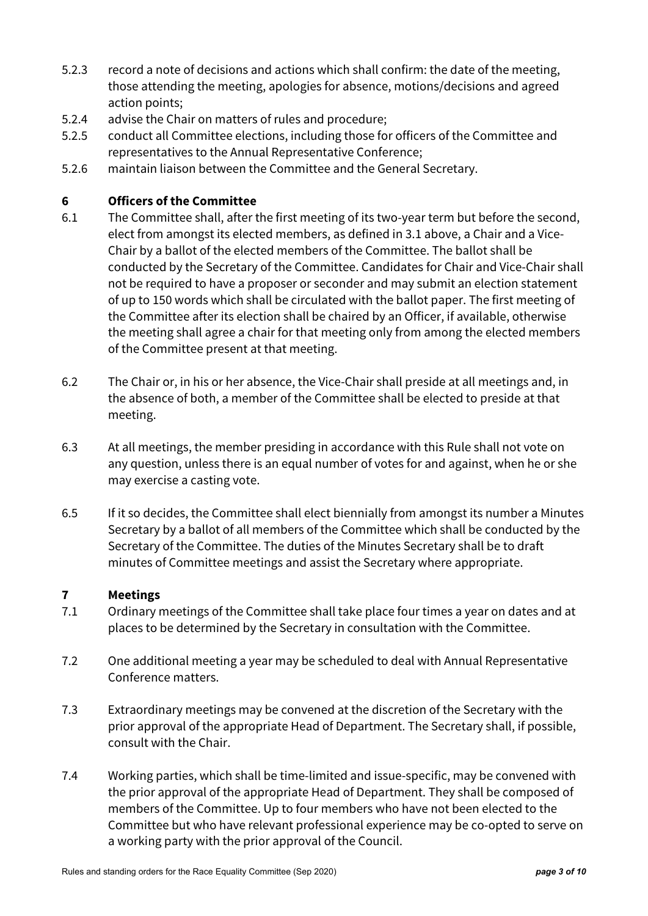- 5.2.3 record a note of decisions and actions which shall confirm: the date of the meeting, those attending the meeting, apologies for absence, motions/decisions and agreed action points;
- 5.2.4 advise the Chair on matters of rules and procedure;
- 5.2.5 conduct all Committee elections, including those for officers of the Committee and representatives to the Annual Representative Conference;
- 5.2.6 maintain liaison between the Committee and the General Secretary.

## **6 Officers of the Committee**

- 6.1 The Committee shall, after the first meeting of its two-year term but before the second, elect from amongst its elected members, as defined in 3.1 above, a Chair and a Vice-Chair by a ballot of the elected members of the Committee. The ballot shall be conducted by the Secretary of the Committee. Candidates for Chair and Vice-Chair shall not be required to have a proposer or seconder and may submit an election statement of up to 150 words which shall be circulated with the ballot paper. The first meeting of the Committee after its election shall be chaired by an Officer, if available, otherwise the meeting shall agree a chair for that meeting only from among the elected members of the Committee present at that meeting.
- 6.2 The Chair or, in his or her absence, the Vice-Chair shall preside at all meetings and, in the absence of both, a member of the Committee shall be elected to preside at that meeting.
- 6.3 At all meetings, the member presiding in accordance with this Rule shall not vote on any question, unless there is an equal number of votes for and against, when he or she may exercise a casting vote.
- 6.5 If it so decides, the Committee shall elect biennially from amongst its number a Minutes Secretary by a ballot of all members of the Committee which shall be conducted by the Secretary of the Committee. The duties of the Minutes Secretary shall be to draft minutes of Committee meetings and assist the Secretary where appropriate.

## **7 Meetings**

- 7.1 Ordinary meetings of the Committee shall take place four times a year on dates and at places to be determined by the Secretary in consultation with the Committee.
- 7.2 One additional meeting a year may be scheduled to deal with Annual Representative Conference matters.
- 7.3 Extraordinary meetings may be convened at the discretion of the Secretary with the prior approval of the appropriate Head of Department. The Secretary shall, if possible, consult with the Chair.
- 7.4 Working parties, which shall be time-limited and issue-specific, may be convened with the prior approval of the appropriate Head of Department. They shall be composed of members of the Committee. Up to four members who have not been elected to the Committee but who have relevant professional experience may be co-opted to serve on a working party with the prior approval of the Council.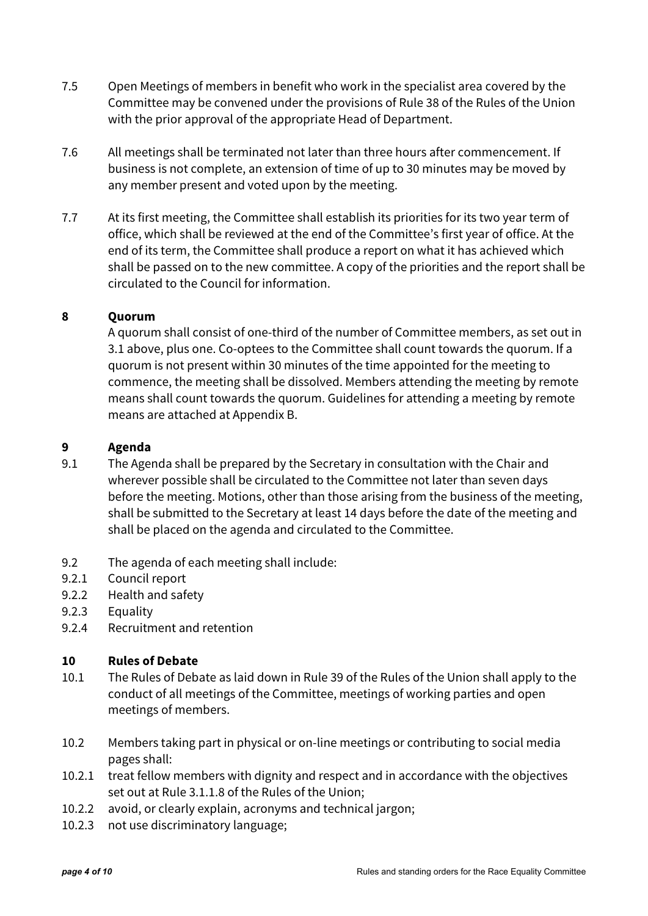- 7.5 Open Meetings of members in benefit who work in the specialist area covered by the Committee may be convened under the provisions of Rule 38 of the Rules of the Union with the prior approval of the appropriate Head of Department.
- 7.6 All meetings shall be terminated not later than three hours after commencement. If business is not complete, an extension of time of up to 30 minutes may be moved by any member present and voted upon by the meeting.
- 7.7 At its first meeting, the Committee shall establish its priorities for its two year term of office, which shall be reviewed at the end of the Committee's first year of office. At the end of its term, the Committee shall produce a report on what it has achieved which shall be passed on to the new committee. A copy of the priorities and the report shall be circulated to the Council for information.

## **8 Quorum**

A quorum shall consist of one-third of the number of Committee members, as set out in 3.1 above, plus one. Co-optees to the Committee shall count towards the quorum. If a quorum is not present within 30 minutes of the time appointed for the meeting to commence, the meeting shall be dissolved. Members attending the meeting by remote means shall count towards the quorum. Guidelines for attending a meeting by remote means are attached at Appendix B.

## **9 Agenda**

- 9.1 The Agenda shall be prepared by the Secretary in consultation with the Chair and wherever possible shall be circulated to the Committee not later than seven days before the meeting. Motions, other than those arising from the business of the meeting, shall be submitted to the Secretary at least 14 days before the date of the meeting and shall be placed on the agenda and circulated to the Committee.
- 9.2 The agenda of each meeting shall include:
- 9.2.1 Council report
- 9.2.2 Health and safety
- 9.2.3 Equality
- 9.2.4 Recruitment and retention

## **10 Rules of Debate**

- 10.1 The Rules of Debate as laid down in Rule 39 of the Rules of the Union shall apply to the conduct of all meetings of the Committee, meetings of working parties and open meetings of members.
- 10.2 Members taking part in physical or on-line meetings or contributing to social media pages shall:
- 10.2.1 treat fellow members with dignity and respect and in accordance with the objectives set out at Rule 3.1.1.8 of the Rules of the Union;
- 10.2.2 avoid, or clearly explain, acronyms and technical jargon;
- 10.2.3 not use discriminatory language;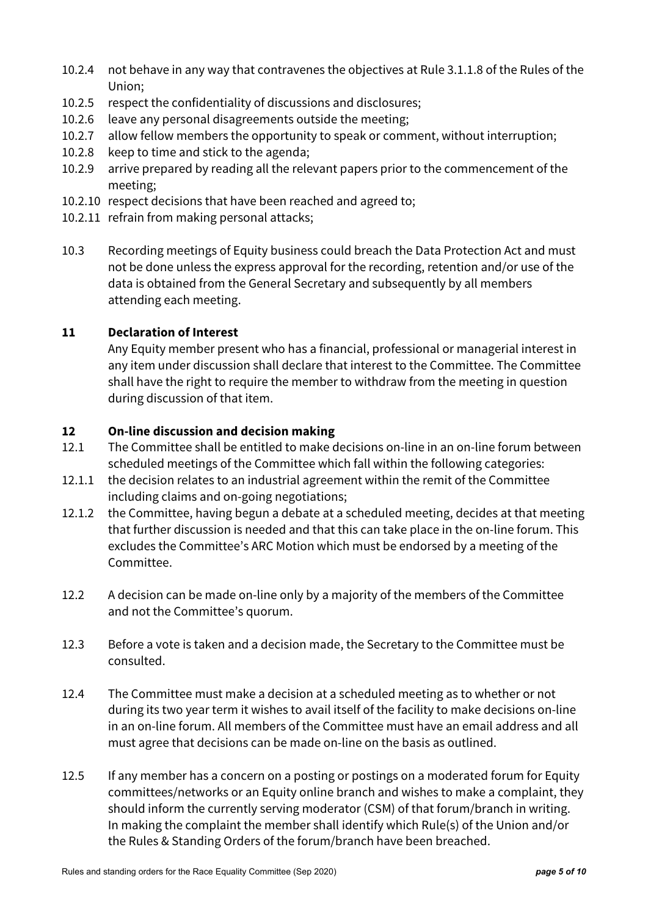- 10.2.4 not behave in any way that contravenes the objectives at Rule 3.1.1.8 of the Rules of the Union;
- 10.2.5 respect the confidentiality of discussions and disclosures;
- 10.2.6 leave any personal disagreements outside the meeting;
- 10.2.7 allow fellow members the opportunity to speak or comment, without interruption;
- 10.2.8 keep to time and stick to the agenda;
- 10.2.9 arrive prepared by reading all the relevant papers prior to the commencement of the meeting;
- 10.2.10 respect decisions that have been reached and agreed to;
- 10.2.11 refrain from making personal attacks;
- 10.3 Recording meetings of Equity business could breach the Data Protection Act and must not be done unless the express approval for the recording, retention and/or use of the data is obtained from the General Secretary and subsequently by all members attending each meeting.

## **11 Declaration of Interest**

Any Equity member present who has a financial, professional or managerial interest in any item under discussion shall declare that interest to the Committee. The Committee shall have the right to require the member to withdraw from the meeting in question during discussion of that item.

## **12 On-line discussion and decision making**

- 12.1 The Committee shall be entitled to make decisions on-line in an on-line forum between scheduled meetings of the Committee which fall within the following categories:
- 12.1.1 the decision relates to an industrial agreement within the remit of the Committee including claims and on-going negotiations;
- 12.1.2 the Committee, having begun a debate at a scheduled meeting, decides at that meeting that further discussion is needed and that this can take place in the on-line forum. This excludes the Committee's ARC Motion which must be endorsed by a meeting of the Committee.
- 12.2 A decision can be made on-line only by a majority of the members of the Committee and not the Committee's quorum.
- 12.3 Before a vote is taken and a decision made, the Secretary to the Committee must be consulted.
- 12.4 The Committee must make a decision at a scheduled meeting as to whether or not during its two year term it wishes to avail itself of the facility to make decisions on-line in an on-line forum. All members of the Committee must have an email address and all must agree that decisions can be made on-line on the basis as outlined.
- 12.5 If any member has a concern on a posting or postings on a moderated forum for Equity committees/networks or an Equity online branch and wishes to make a complaint, they should inform the currently serving moderator (CSM) of that forum/branch in writing. In making the complaint the member shall identify which Rule(s) of the Union and/or the Rules & Standing Orders of the forum/branch have been breached.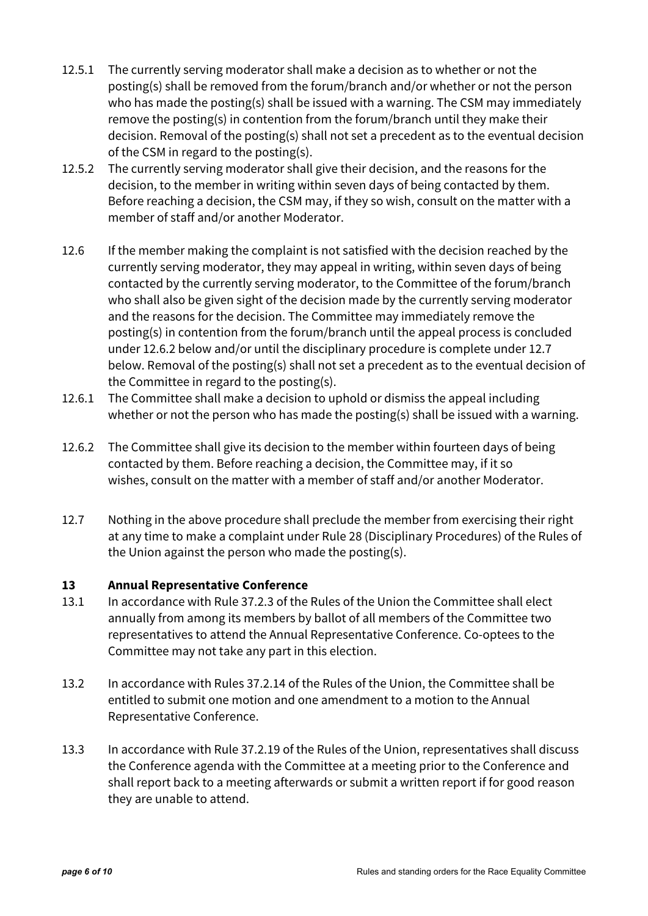- 12.5.1 The currently serving moderator shall make a decision as to whether or not the posting(s) shall be removed from the forum/branch and/or whether or not the person who has made the posting(s) shall be issued with a warning. The CSM may immediately remove the posting(s) in contention from the forum/branch until they make their decision. Removal of the posting(s) shall not set a precedent as to the eventual decision of the CSM in regard to the posting(s).
- 12.5.2 The currently serving moderator shall give their decision, and the reasons for the decision, to the member in writing within seven days of being contacted by them. Before reaching a decision, the CSM may, if they so wish, consult on the matter with a member of staff and/or another Moderator.
- 12.6 If the member making the complaint is not satisfied with the decision reached by the currently serving moderator, they may appeal in writing, within seven days of being contacted by the currently serving moderator, to the Committee of the forum/branch who shall also be given sight of the decision made by the currently serving moderator and the reasons for the decision. The Committee may immediately remove the posting(s) in contention from the forum/branch until the appeal process is concluded under 12.6.2 below and/or until the disciplinary procedure is complete under 12.7 below. Removal of the posting(s) shall not set a precedent as to the eventual decision of the Committee in regard to the posting(s).
- 12.6.1 The Committee shall make a decision to uphold or dismiss the appeal including whether or not the person who has made the posting(s) shall be issued with a warning.
- 12.6.2 The Committee shall give its decision to the member within fourteen days of being contacted by them. Before reaching a decision, the Committee may, if it so wishes, consult on the matter with a member of staff and/or another Moderator.
- 12.7 Nothing in the above procedure shall preclude the member from exercising their right at any time to make a complaint under Rule 28 (Disciplinary Procedures) of the Rules of the Union against the person who made the posting(s).

## **13 Annual Representative Conference**

- 13.1 In accordance with Rule 37.2.3 of the Rules of the Union the Committee shall elect annually from among its members by ballot of all members of the Committee two representatives to attend the Annual Representative Conference. Co-optees to the Committee may not take any part in this election.
- 13.2 In accordance with Rules 37.2.14 of the Rules of the Union, the Committee shall be entitled to submit one motion and one amendment to a motion to the Annual Representative Conference.
- 13.3 In accordance with Rule 37.2.19 of the Rules of the Union, representatives shall discuss the Conference agenda with the Committee at a meeting prior to the Conference and shall report back to a meeting afterwards or submit a written report if for good reason they are unable to attend.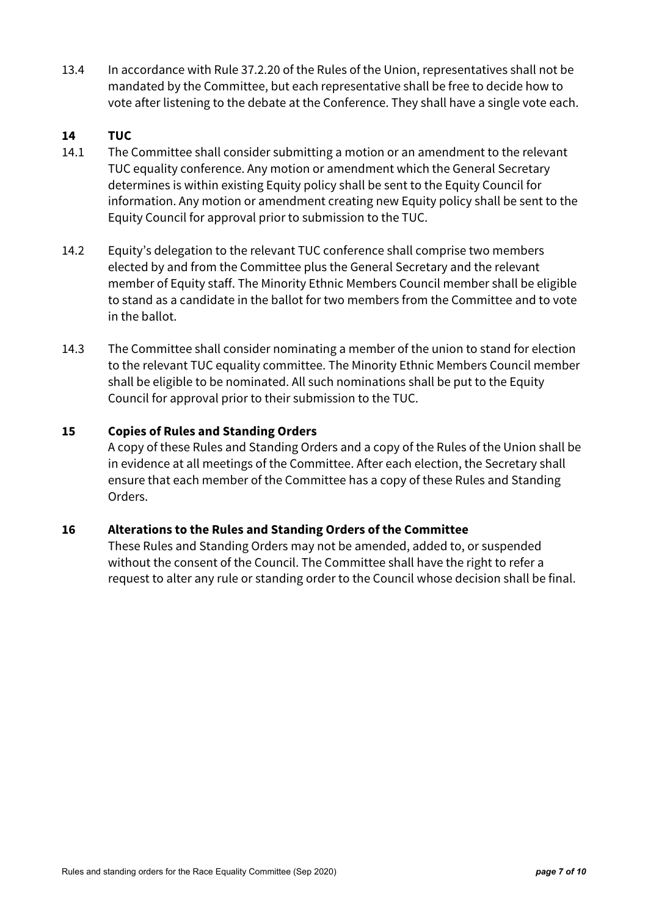13.4 In accordance with Rule 37.2.20 of the Rules of the Union, representatives shall not be mandated by the Committee, but each representative shall be free to decide how to vote after listening to the debate at the Conference. They shall have a single vote each.

## **14 TUC**

- 14.1 The Committee shall consider submitting a motion or an amendment to the relevant TUC equality conference. Any motion or amendment which the General Secretary determines is within existing Equity policy shall be sent to the Equity Council for information. Any motion or amendment creating new Equity policy shall be sent to the Equity Council for approval prior to submission to the TUC.
- 14.2 Equity's delegation to the relevant TUC conference shall comprise two members elected by and from the Committee plus the General Secretary and the relevant member of Equity staff. The Minority Ethnic Members Council member shall be eligible to stand as a candidate in the ballot for two members from the Committee and to vote in the ballot.
- 14.3 The Committee shall consider nominating a member of the union to stand for election to the relevant TUC equality committee. The Minority Ethnic Members Council member shall be eligible to be nominated. All such nominations shall be put to the Equity Council for approval prior to their submission to the TUC.

## **15 Copies of Rules and Standing Orders**

 A copy of these Rules and Standing Orders and a copy of the Rules of the Union shall be in evidence at all meetings of the Committee. After each election, the Secretary shall ensure that each member of the Committee has a copy of these Rules and Standing Orders.

## **16 Alterations to the Rules and Standing Orders of the Committee**

 These Rules and Standing Orders may not be amended, added to, or suspended without the consent of the Council. The Committee shall have the right to refer a request to alter any rule or standing order to the Council whose decision shall be final.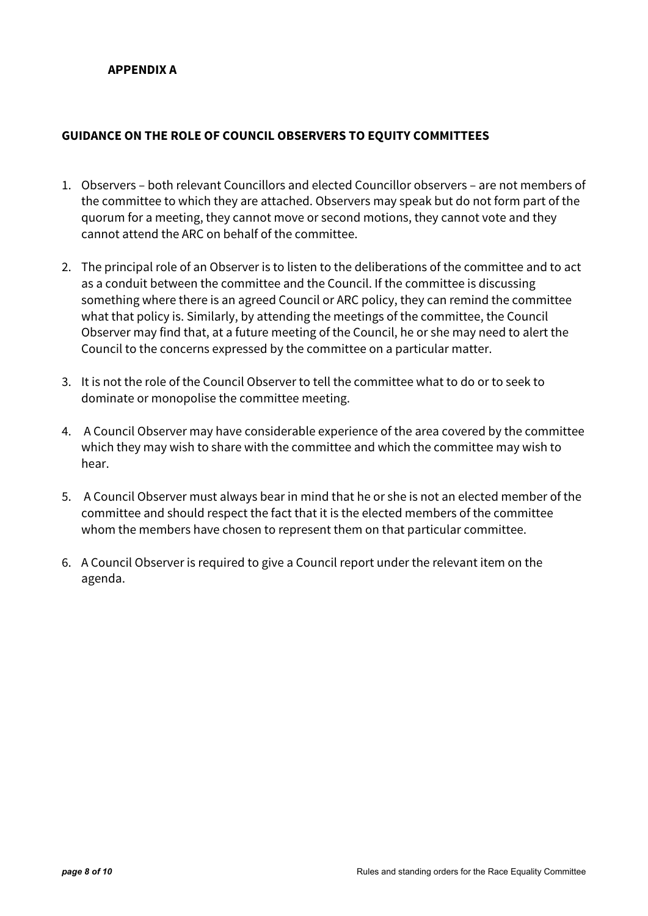## **GUIDANCE ON THE ROLE OF COUNCIL OBSERVERS TO EQUITY COMMITTEES**

- 1. Observers both relevant Councillors and elected Councillor observers are not members of the committee to which they are attached. Observers may speak but do not form part of the quorum for a meeting, they cannot move or second motions, they cannot vote and they cannot attend the ARC on behalf of the committee.
- 2. The principal role of an Observer is to listen to the deliberations of the committee and to act as a conduit between the committee and the Council. If the committee is discussing something where there is an agreed Council or ARC policy, they can remind the committee what that policy is. Similarly, by attending the meetings of the committee, the Council Observer may find that, at a future meeting of the Council, he or she may need to alert the Council to the concerns expressed by the committee on a particular matter.
- 3. It is not the role of the Council Observer to tell the committee what to do or to seek to dominate or monopolise the committee meeting.
- 4. A Council Observer may have considerable experience of the area covered by the committee which they may wish to share with the committee and which the committee may wish to hear.
- 5. A Council Observer must always bear in mind that he or she is not an elected member of the committee and should respect the fact that it is the elected members of the committee whom the members have chosen to represent them on that particular committee.
- 6. A Council Observer is required to give a Council report under the relevant item on the agenda.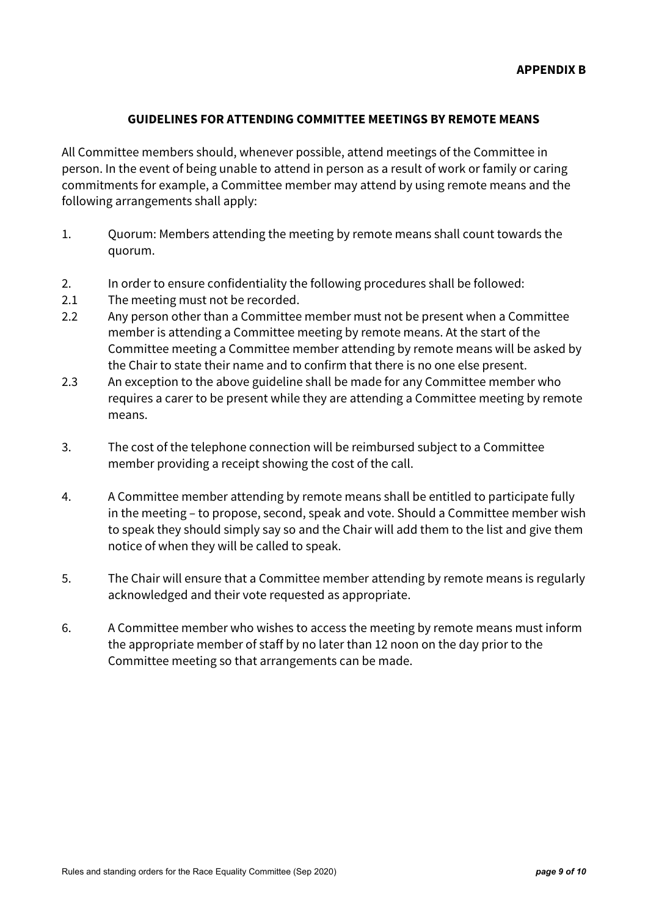#### **GUIDELINES FOR ATTENDING COMMITTEE MEETINGS BY REMOTE MEANS**

All Committee members should, whenever possible, attend meetings of the Committee in person. In the event of being unable to attend in person as a result of work or family or caring commitments for example, a Committee member may attend by using remote means and the following arrangements shall apply:

- 1. Quorum: Members attending the meeting by remote means shall count towards the quorum.
- 2. In order to ensure confidentiality the following procedures shall be followed:
- 2.1 The meeting must not be recorded.
- 2.2 Any person other than a Committee member must not be present when a Committee member is attending a Committee meeting by remote means. At the start of the Committee meeting a Committee member attending by remote means will be asked by the Chair to state their name and to confirm that there is no one else present.
- 2.3 An exception to the above guideline shall be made for any Committee member who requires a carer to be present while they are attending a Committee meeting by remote means.
- 3. The cost of the telephone connection will be reimbursed subject to a Committee member providing a receipt showing the cost of the call.
- 4. A Committee member attending by remote means shall be entitled to participate fully in the meeting – to propose, second, speak and vote. Should a Committee member wish to speak they should simply say so and the Chair will add them to the list and give them notice of when they will be called to speak.
- 5. The Chair will ensure that a Committee member attending by remote means is regularly acknowledged and their vote requested as appropriate.
- 6. A Committee member who wishes to access the meeting by remote means must inform the appropriate member of staff by no later than 12 noon on the day prior to the Committee meeting so that arrangements can be made.